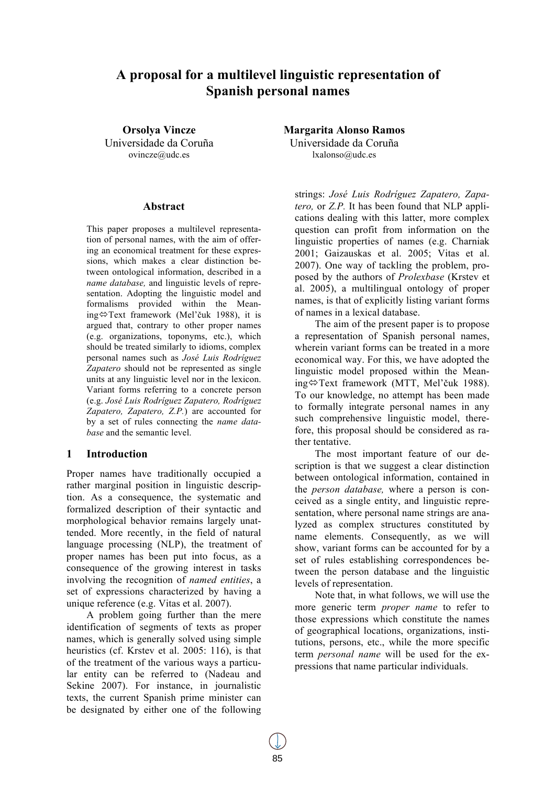# **A proposal for a multilevel linguistic representation of Spanish personal names**

**Orsolya Vincze** Universidade da Coruña ovincze@udc.es

#### **Abstract**

This paper proposes a multilevel representation of personal names, with the aim of offering an economical treatment for these expressions, which makes a clear distinction between ontological information, described in a *name database,* and linguistic levels of representation. Adopting the linguistic model and formalisms provided within the Meaning⇔Text framework (Mel'čuk 1988), it is argued that, contrary to other proper names (e.g. organizations, toponyms, etc.), which should be treated similarly to idioms, complex personal names such as *José Luis Rodríguez Zapatero* should not be represented as single units at any linguistic level nor in the lexicon. Variant forms referring to a concrete person (e.g. *José Luis Rodríguez Zapatero, Rodríguez Zapatero, Zapatero, Z.P.*) are accounted for by a set of rules connecting the *name database* and the semantic level.

## **1 Introduction**

Proper names have traditionally occupied a rather marginal position in linguistic description. As a consequence, the systematic and formalized description of their syntactic and morphological behavior remains largely unattended. More recently, in the field of natural language processing (NLP), the treatment of proper names has been put into focus, as a consequence of the growing interest in tasks involving the recognition of *named entities*, a set of expressions characterized by having a unique reference (e.g. Vitas et al. 2007).

A problem going further than the mere identification of segments of texts as proper names, which is generally solved using simple heuristics (cf. Krstev et al. 2005: 116), is that of the treatment of the various ways a particular entity can be referred to (Nadeau and Sekine 2007). For instance, in journalistic texts, the current Spanish prime minister can be designated by either one of the following **Margarita Alonso Ramos**

Universidade da Coruña lxalonso@udc.es

strings: *José Luis Rodríguez Zapatero, Zapatero,* or *Z.P.* It has been found that NLP applications dealing with this latter, more complex question can profit from information on the linguistic properties of names (e.g. Charniak 2001; Gaizauskas et al. 2005; Vitas et al. 2007). One way of tackling the problem, proposed by the authors of *Prolexbase* (Krstev et al. 2005), a multilingual ontology of proper names, is that of explicitly listing variant forms of names in a lexical database.

The aim of the present paper is to propose a representation of Spanish personal names, wherein variant forms can be treated in a more economical way. For this, we have adopted the linguistic model proposed within the Meaning $\Leftrightarrow$ Text framework (MTT, Mel'čuk 1988). To our knowledge, no attempt has been made to formally integrate personal names in any such comprehensive linguistic model, therefore, this proposal should be considered as rather tentative.

The most important feature of our description is that we suggest a clear distinction between ontological information, contained in the *person database,* where a person is conceived as a single entity, and linguistic representation, where personal name strings are analyzed as complex structures constituted by name elements. Consequently, as we will show, variant forms can be accounted for by a set of rules establishing correspondences between the person database and the linguistic levels of representation.

Note that, in what follows, we will use the more generic term *proper name* to refer to those expressions which constitute the names of geographical locations, organizations, institutions, persons, etc., while the more specific term *personal name* will be used for the expressions that name particular individuals.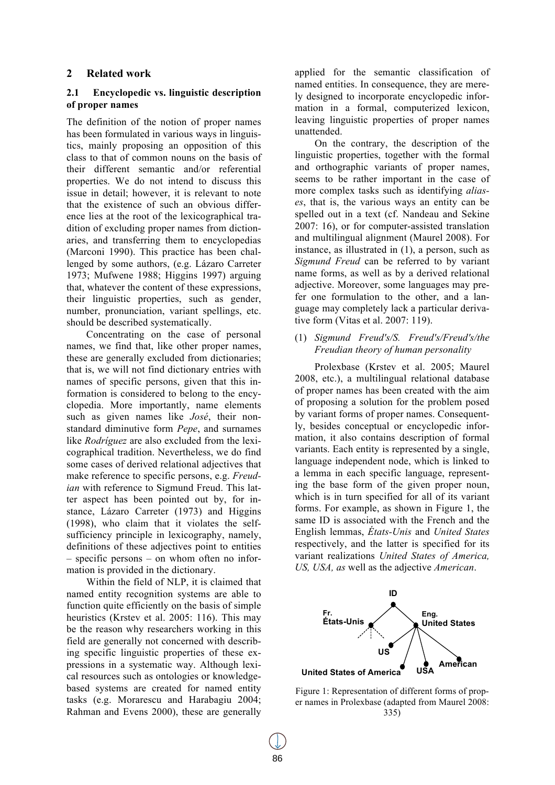# **2 Related work**

# **2.1 Encyclopedic vs. linguistic description of proper names**

The definition of the notion of proper names has been formulated in various ways in linguistics, mainly proposing an opposition of this class to that of common nouns on the basis of their different semantic and/or referential properties. We do not intend to discuss this issue in detail; however, it is relevant to note that the existence of such an obvious difference lies at the root of the lexicographical tradition of excluding proper names from dictionaries, and transferring them to encyclopedias (Marconi 1990). This practice has been challenged by some authors, (e.g. Lázaro Carreter 1973; Mufwene 1988; Higgins 1997) arguing that, whatever the content of these expressions, their linguistic properties, such as gender, number, pronunciation, variant spellings, etc. should be described systematically.

Concentrating on the case of personal names, we find that, like other proper names, these are generally excluded from dictionaries; that is, we will not find dictionary entries with names of specific persons, given that this information is considered to belong to the encyclopedia. More importantly, name elements such as given names like *José*, their nonstandard diminutive form *Pepe*, and surnames like *Rodríguez* are also excluded from the lexicographical tradition. Nevertheless, we do find some cases of derived relational adjectives that make reference to specific persons, e.g. *Freudian* with reference to Sigmund Freud. This latter aspect has been pointed out by, for instance, Lázaro Carreter (1973) and Higgins (1998), who claim that it violates the selfsufficiency principle in lexicography, namely, definitions of these adjectives point to entities – specific persons – on whom often no information is provided in the dictionary.

Within the field of NLP, it is claimed that named entity recognition systems are able to function quite efficiently on the basis of simple heuristics (Krstev et al. 2005: 116). This may be the reason why researchers working in this field are generally not concerned with describing specific linguistic properties of these expressions in a systematic way. Although lexical resources such as ontologies or knowledgebased systems are created for named entity tasks (e.g. Morarescu and Harabagiu 2004; Rahman and Evens 2000), these are generally applied for the semantic classification of named entities. In consequence, they are merely designed to incorporate encyclopedic information in a formal, computerized lexicon, leaving linguistic properties of proper names unattended.

On the contrary, the description of the linguistic properties, together with the formal and orthographic variants of proper names, seems to be rather important in the case of more complex tasks such as identifying *aliases*, that is, the various ways an entity can be spelled out in a text (cf. Nandeau and Sekine 2007: 16), or for computer-assisted translation and multilingual alignment (Maurel 2008). For instance, as illustrated in (1), a person, such as *Sigmund Freud* can be referred to by variant name forms, as well as by a derived relational adjective. Moreover, some languages may prefer one formulation to the other, and a language may completely lack a particular derivative form (Vitas et al. 2007: 119).

## (1) *Sigmund Freud's/S. Freud's/Freud's/the Freudian theory of human personality*

Prolexbase (Krstev et al. 2005; Maurel 2008, etc.), a multilingual relational database of proper names has been created with the aim of proposing a solution for the problem posed by variant forms of proper names. Consequently, besides conceptual or encyclopedic information, it also contains description of formal variants. Each entity is represented by a single, language independent node, which is linked to a lemma in each specific language, representing the base form of the given proper noun, which is in turn specified for all of its variant forms. For example, as shown in Figure 1, the same ID is associated with the French and the English lemmas, *États-Unis* and *United States*  respectively, and the latter is specified for its variant realizations *United States of America, US, USA, as* well as the adjective *American*.



Figure 1: Representation of different forms of proper names in Prolexbase (adapted from Maurel 2008: 335)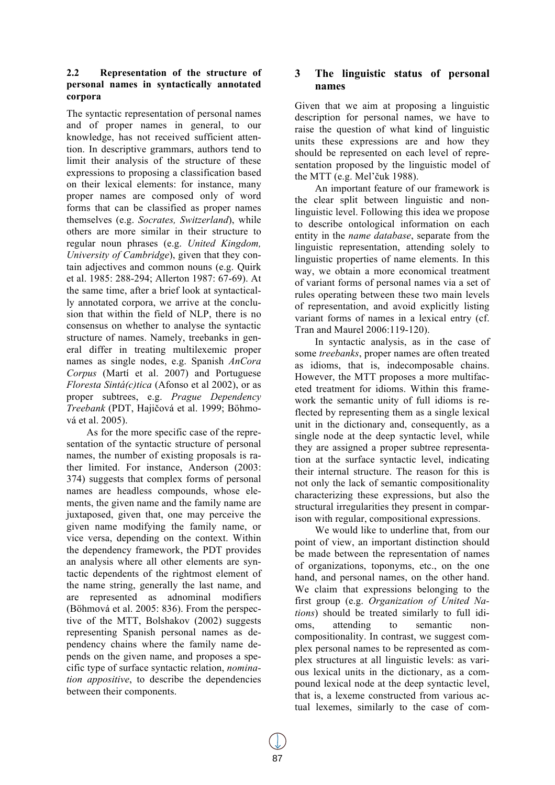# **2.2 Representation of the structure of personal names in syntactically annotated corpora**

The syntactic representation of personal names and of proper names in general, to our knowledge, has not received sufficient attention. In descriptive grammars, authors tend to limit their analysis of the structure of these expressions to proposing a classification based on their lexical elements: for instance, many proper names are composed only of word forms that can be classified as proper names themselves (e.g. *Socrates, Switzerland*), while others are more similar in their structure to regular noun phrases (e.g. *United Kingdom, University of Cambridge*), given that they contain adjectives and common nouns (e.g. Quirk et al. 1985: 288-294; Allerton 1987: 67-69). At the same time, after a brief look at syntactically annotated corpora, we arrive at the conclusion that within the field of NLP, there is no consensus on whether to analyse the syntactic structure of names. Namely, treebanks in general differ in treating multilexemic proper names as single nodes, e.g. Spanish *AnCora Corpus* (Martí et al. 2007) and Portuguese *Floresta Sintá(c)tica* (Afonso et al 2002), or as proper subtrees, e.g. *Prague Dependency Treebank* (PDT, Hajičová et al. 1999; Böhmová et al. 2005).

As for the more specific case of the representation of the syntactic structure of personal names, the number of existing proposals is rather limited. For instance, Anderson (2003: 374) suggests that complex forms of personal names are headless compounds, whose elements, the given name and the family name are juxtaposed, given that, one may perceive the given name modifying the family name, or vice versa, depending on the context. Within the dependency framework, the PDT provides an analysis where all other elements are syntactic dependents of the rightmost element of the name string, generally the last name, and are represented as adnominal modifiers (Böhmová et al. 2005: 836). From the perspective of the MTT, Bolshakov (2002) suggests representing Spanish personal names as dependency chains where the family name depends on the given name, and proposes a specific type of surface syntactic relation, *nomination appositive*, to describe the dependencies between their components.

# **3 The linguistic status of personal names**

Given that we aim at proposing a linguistic description for personal names, we have to raise the question of what kind of linguistic units these expressions are and how they should be represented on each level of representation proposed by the linguistic model of the MTT (e.g. Mel'čuk 1988).

An important feature of our framework is the clear split between linguistic and nonlinguistic level. Following this idea we propose to describe ontological information on each entity in the *name database*, separate from the linguistic representation, attending solely to linguistic properties of name elements. In this way, we obtain a more economical treatment of variant forms of personal names via a set of rules operating between these two main levels of representation, and avoid explicitly listing variant forms of names in a lexical entry (cf. Tran and Maurel 2006:119-120).

In syntactic analysis, as in the case of some *treebanks*, proper names are often treated as idioms, that is, indecomposable chains. However, the MTT proposes a more multifaceted treatment for idioms. Within this framework the semantic unity of full idioms is reflected by representing them as a single lexical unit in the dictionary and, consequently, as a single node at the deep syntactic level, while they are assigned a proper subtree representation at the surface syntactic level, indicating their internal structure. The reason for this is not only the lack of semantic compositionality characterizing these expressions, but also the structural irregularities they present in comparison with regular, compositional expressions.

We would like to underline that, from our point of view, an important distinction should be made between the representation of names of organizations, toponyms, etc., on the one hand, and personal names, on the other hand. We claim that expressions belonging to the first group (e.g. *Organization of United Nations*) should be treated similarly to full idioms, attending to semantic noncompositionality. In contrast, we suggest complex personal names to be represented as complex structures at all linguistic levels: as various lexical units in the dictionary, as a compound lexical node at the deep syntactic level, that is, a lexeme constructed from various actual lexemes, similarly to the case of com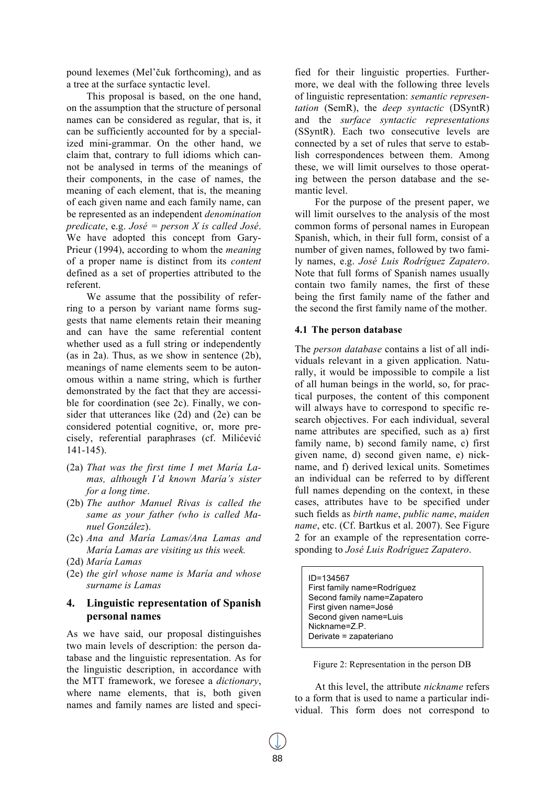pound lexemes (Mel'čuk forthcoming), and as a tree at the surface syntactic level.

This proposal is based, on the one hand, on the assumption that the structure of personal names can be considered as regular, that is, it can be sufficiently accounted for by a specialized mini-grammar. On the other hand, we claim that, contrary to full idioms which cannot be analysed in terms of the meanings of their components, in the case of names, the meaning of each element, that is, the meaning of each given name and each family name, can be represented as an independent *denomination predicate*, e.g. *José = person X is called José*. We have adopted this concept from Gary-Prieur (1994), according to whom the *meaning*  of a proper name is distinct from its *content*  defined as a set of properties attributed to the referent.

We assume that the possibility of referring to a person by variant name forms suggests that name elements retain their meaning and can have the same referential content whether used as a full string or independently (as in 2a). Thus, as we show in sentence (2b), meanings of name elements seem to be autonomous within a name string, which is further demonstrated by the fact that they are accessible for coordination (see 2c). Finally, we consider that utterances like (2d) and (2e) can be considered potential cognitive, or, more precisely, referential paraphrases (cf. Milićević 141-145).

- (2a) *That was the first time I met María Lamas, although I'd known María's sister for a long time*.
- (2b) *The author Manuel Rivas is called the same as your father (who is called Manuel González*).
- (2c) *Ana and María Lamas/Ana Lamas and María Lamas are visiting us this week.*
- (2d) *María Lamas*
- (2e) *the girl whose name is María and whose surname is Lamas*

# **4. Linguistic representation of Spanish personal names**

As we have said, our proposal distinguishes two main levels of description: the person database and the linguistic representation. As for the linguistic description, in accordance with the MTT framework, we foresee a *dictionary*, where name elements, that is, both given names and family names are listed and specified for their linguistic properties. Furthermore, we deal with the following three levels of linguistic representation: *semantic representation* (SemR), the *deep syntactic* (DSyntR) and the *surface syntactic representations* (SSyntR). Each two consecutive levels are connected by a set of rules that serve to establish correspondences between them. Among these, we will limit ourselves to those operating between the person database and the semantic level.

For the purpose of the present paper, we will limit ourselves to the analysis of the most common forms of personal names in European Spanish, which, in their full form, consist of a number of given names, followed by two family names, e.g. *José Luis Rodríguez Zapatero*. Note that full forms of Spanish names usually contain two family names, the first of these being the first family name of the father and the second the first family name of the mother.

## **4.1 The person database**

The *person database* contains a list of all individuals relevant in a given application. Naturally, it would be impossible to compile a list of all human beings in the world, so, for practical purposes, the content of this component will always have to correspond to specific research objectives. For each individual, several name attributes are specified, such as a) first family name, b) second family name, c) first given name, d) second given name, e) nickname, and f) derived lexical units. Sometimes an individual can be referred to by different full names depending on the context, in these cases, attributes have to be specified under such fields as *birth name*, *public name*, *maiden name*, etc. (Cf. Bartkus et al. 2007). See Figure 2 for an example of the representation corresponding to *José Luis Rodríguez Zapatero*.

ID=134567 First family name=Rodríguez Second family name=Zapatero First given name=José Second given name=Luis Nickname=Z.P. Derivate = zapateriano

Figure 2: Representation in the person DB

At this level, the attribute *nickname* refers to a form that is used to name a particular individual. This form does not correspond to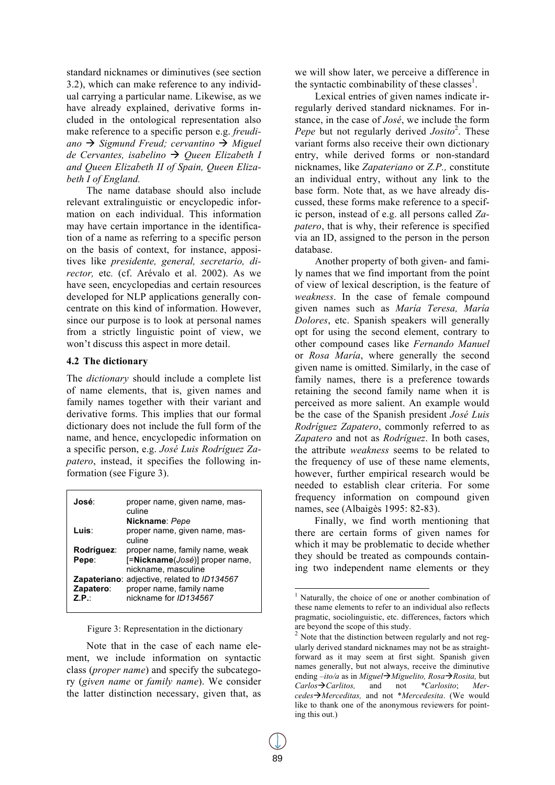standard nicknames or diminutives (see section 3.2), which can make reference to any individual carrying a particular name. Likewise, as we have already explained, derivative forms included in the ontological representation also make reference to a specific person e.g. *freudi*ano  $\rightarrow$  *Sigmund Freud; cervantino*  $\rightarrow$  *Miguel de Cervantes, isabelino → Queen Elizabeth I and Queen Elizabeth II of Spain, Queen Elizabeth I of England.*

The name database should also include relevant extralinguistic or encyclopedic information on each individual. This information may have certain importance in the identification of a name as referring to a specific person on the basis of context, for instance, appositives like *presidente, general, secretario, director,* etc*.* (cf. Arévalo et al. 2002). As we have seen, encyclopedias and certain resources developed for NLP applications generally concentrate on this kind of information. However, since our purpose is to look at personal names from a strictly linguistic point of view, we won't discuss this aspect in more detail.

#### **4.2 The dictionary**

The *dictionary* should include a complete list of name elements, that is, given names and family names together with their variant and derivative forms. This implies that our formal dictionary does not include the full form of the name, and hence, encyclopedic information on a specific person, e.g. *José Luis Rodríguez Zapatero*, instead, it specifies the following information (see Figure 3).

| José:                   | proper name, given name, mas-<br>culine<br>Nickname: Pepe                                                      |
|-------------------------|----------------------------------------------------------------------------------------------------------------|
| Luis∶                   | proper name, given name, mas-<br>culine                                                                        |
| Rodríguez:<br>Pepe:     | proper name, family name, weak<br>[=Nickname(José)] proper name,<br>nickname, masculine                        |
| Zapatero:<br><b>7 P</b> | <b>Zapateriano:</b> adjective, related to <i>ID134567</i><br>proper name, family name<br>nickname for ID134567 |

Figure 3: Representation in the dictionary

Note that in the case of each name element, we include information on syntactic class (*proper name*) and specify the subcategory (*given name* or *family name*). We consider the latter distinction necessary, given that, as we will show later, we perceive a difference in the syntactic combinability of these classes<sup>1</sup>.

Lexical entries of given names indicate irregularly derived standard nicknames. For instance, in the case of *José*, we include the form Pepe but not regularly derived *Josito*<sup>2</sup>. These variant forms also receive their own dictionary entry, while derived forms or non-standard nicknames, like *Zapateriano* or *Z.P.,* constitute an individual entry, without any link to the base form. Note that, as we have already discussed, these forms make reference to a specific person, instead of e.g. all persons called *Zapatero*, that is why, their reference is specified via an ID, assigned to the person in the person database.

Another property of both given- and family names that we find important from the point of view of lexical description, is the feature of *weakness*. In the case of female compound given names such as *María Teresa, María Dolores*, etc. Spanish speakers will generally opt for using the second element, contrary to other compound cases like *Fernando Manuel*  or *Rosa María*, where generally the second given name is omitted. Similarly, in the case of family names, there is a preference towards retaining the second family name when it is perceived as more salient. An example would be the case of the Spanish president *José Luis Rodríguez Zapatero*, commonly referred to as *Zapatero* and not as *Rodríguez*. In both cases, the attribute *weakness* seems to be related to the frequency of use of these name elements, however, further empirical research would be needed to establish clear criteria. For some frequency information on compound given names, see (Albaigès 1995: 82-83).

Finally, we find worth mentioning that there are certain forms of given names for which it may be problematic to decide whether they should be treated as compounds containing two independent name elements or they

<sup>&</sup>lt;sup>1</sup> Naturally, the choice of one or another combination of these name elements to refer to an individual also reflects pragmatic, sociolinguistic, etc. differences, factors which are beyond the scope of this study.

<sup>&</sup>lt;sup>2</sup> Note that the distinction between regularly and not regularly derived standard nicknames may not be as straightforward as it may seem at first sight. Spanish given names generally, but not always, receive the diminutive ending *–ito/a* as in *Miguel→Miguelito, Rosa→Rosita,* but *Carlos*"*Carlitos,* and not *\*Carlosito*; *Mercedes*"*Merceditas,* and not \**Mercedesita*. (We would like to thank one of the anonymous reviewers for pointing this out.)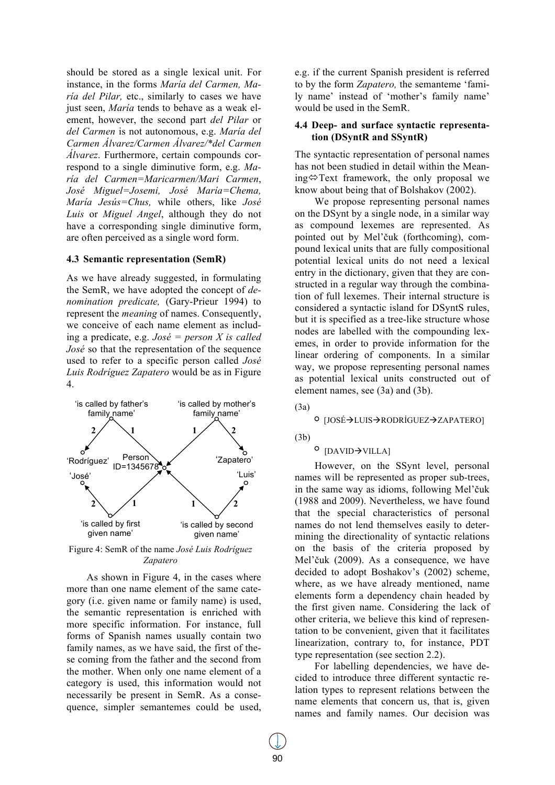should be stored as a single lexical unit. For instance, in the forms *María del Carmen, María del Pilar,* etc., similarly to cases we have just seen, *María* tends to behave as a weak element, however, the second part *del Pilar* or *del Carmen* is not autonomous, e.g. *María del Carmen Álvarez/Carmen Álvarez/\*del Carmen Álvarez*. Furthermore, certain compounds correspond to a single diminutive form, e.g. *María del Carmen=Maricarmen/Mari Carmen*, *José Miguel=Josemi, José María=Chema, María Jesús=Chus,* while others, like *José Luis* or *Miguel Angel*, although they do not have a corresponding single diminutive form, are often perceived as a single word form.

#### **4.3 Semantic representation (SemR)**

As we have already suggested, in formulating the SemR, we have adopted the concept of *denomination predicate,* (Gary-Prieur 1994) to represent the *meaning* of names. Consequently, we conceive of each name element as including a predicate, e.g. *José = person X is called José* so that the representation of the sequence used to refer to a specific person called *José Luis Rodríguez Zapatero* would be as in Figure 4.



Figure 4: SemR of the name *José Luis Rodríguez Zapatero*

As shown in Figure 4, in the cases where more than one name element of the same category (i.e. given name or family name) is used, the semantic representation is enriched with more specific information. For instance, full forms of Spanish names usually contain two family names, as we have said, the first of these coming from the father and the second from the mother. When only one name element of a category is used, this information would not necessarily be present in SemR. As a consequence, simpler semantemes could be used, e.g. if the current Spanish president is referred to by the form *Zapatero,* the semanteme 'family name' instead of 'mother's family name' would be used in the SemR.

#### **4.4 Deep- and surface syntactic representation (DSyntR and SSyntR)**

The syntactic representation of personal names has not been studied in detail within the Meaning  $\Leftrightarrow$  Text framework, the only proposal we know about being that of Bolshakov (2002).

We propose representing personal names on the DSynt by a single node, in a similar way as compound lexemes are represented. As pointed out by Mel'čuk (forthcoming), compound lexical units that are fully compositional potential lexical units do not need a lexical entry in the dictionary, given that they are constructed in a regular way through the combination of full lexemes. Their internal structure is considered a syntactic island for DSyntS rules, but it is specified as a tree-like structure whose nodes are labelled with the compounding lexemes, in order to provide information for the linear ordering of components. In a similar way, we propose representing personal names as potential lexical units constructed out of element names, see (3a) and (3b).

(3a)

#### <sup>O</sup> [JOSÉ→LUIS→RODRÍGUEZ→ZAPATERO]

(3b)

# $^{\circ}$  [DAVID $\rightarrow$ VILLA]

However, on the SSynt level, personal names will be represented as proper sub-trees, in the same way as idioms, following Mel'čuk (1988 and 2009). Nevertheless, we have found that the special characteristics of personal names do not lend themselves easily to determining the directionality of syntactic relations on the basis of the criteria proposed by Mel'čuk (2009). As a consequence, we have decided to adopt Boshakov's (2002) scheme, where, as we have already mentioned, name elements form a dependency chain headed by the first given name. Considering the lack of other criteria, we believe this kind of representation to be convenient, given that it facilitates linearization, contrary to, for instance, PDT type representation (see section 2.2).

For labelling dependencies, we have decided to introduce three different syntactic relation types to represent relations between the name elements that concern us, that is, given names and family names. Our decision was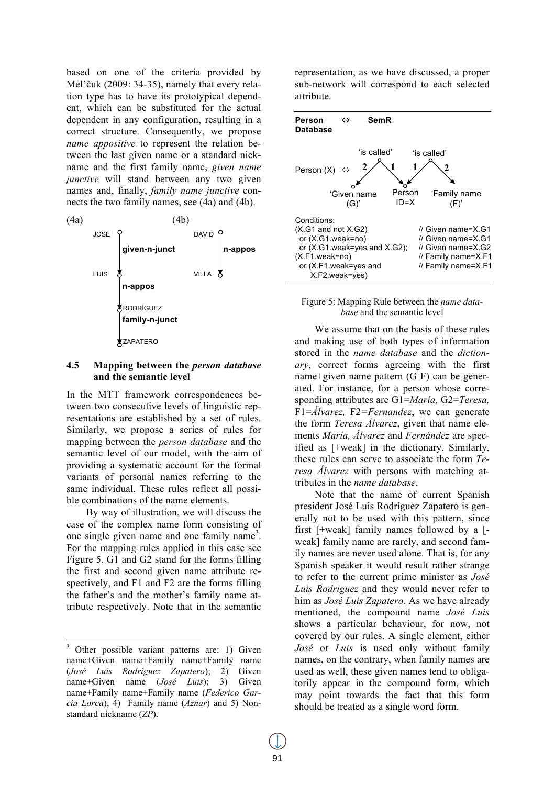based on one of the criteria provided by Mel'čuk (2009: 34-35), namely that every relation type has to have its prototypical dependent, which can be substituted for the actual dependent in any configuration, resulting in a correct structure. Consequently, we propose *name appositive* to represent the relation between the last given name or a standard nickname and the first family name, *given name junctive* will stand between any two given names and, finally, *family name junctive* connects the two family names, see (4a) and (4b).



# **4.5 Mapping between the** *person database*  **and the semantic level**

In the MTT framework correspondences between two consecutive levels of linguistic representations are established by a set of rules. Similarly, we propose a series of rules for mapping between the *person database* and the semantic level of our model, with the aim of providing a systematic account for the formal variants of personal names referring to the same individual. These rules reflect all possible combinations of the name elements.

By way of illustration, we will discuss the case of the complex name form consisting of one single given name and one family name<sup>3</sup>. For the mapping rules applied in this case see Figure 5. G1 and G2 stand for the forms filling the first and second given name attribute respectively, and F1 and F2 are the forms filling the father's and the mother's family name attribute respectively. Note that in the semantic

representation, as we have discussed, a proper sub-network will correspond to each selected attribute.



#### Figure 5: Mapping Rule between the *name database* and the semantic level

We assume that on the basis of these rules and making use of both types of information stored in the *name database* and the *dictionary*, correct forms agreeing with the first name+given name pattern (G F) can be generated. For instance, for a person whose corresponding attributes are G1=*María,* G2=*Teresa,*  F1=*Álvarez,* F2*=Fernandez*, we can generate the form *Teresa Álvarez*, given that name elements *María, Álvarez* and *Fernández* are specified as [+weak] in the dictionary. Similarly, these rules can serve to associate the form *Teresa Álvarez* with persons with matching attributes in the *name database*.

Note that the name of current Spanish president José Luis Rodríguez Zapatero is generally not to be used with this pattern, since first [+weak] family names followed by a [ weak] family name are rarely, and second family names are never used alone. That is, for any Spanish speaker it would result rather strange to refer to the current prime minister as *José Luis Rodriguez* and they would never refer to him as *José Luis Zapatero*. As we have already mentioned, the compound name *José Luis*  shows a particular behaviour, for now, not covered by our rules. A single element, either *José* or *Luis* is used only without family names, on the contrary, when family names are used as well, these given names tend to obligatorily appear in the compound form, which may point towards the fact that this form should be treated as a single word form.

<sup>&</sup>lt;sup>3</sup> Other possible variant patterns are: 1) Given name+Given name+Family name+Family name (*José Luis Rodríguez Zapatero*); 2) Given name+Given name (*José Luis*); 3) Given name+Family name+Family name (*Federico García Lorca*), 4) Family name (*Aznar*) and 5) Nonstandard nickname (*ZP*).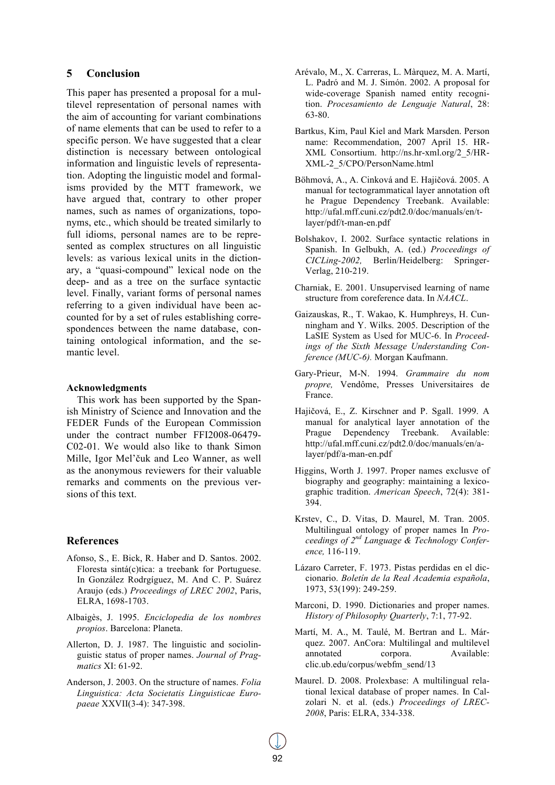#### **5 Conclusion**

This paper has presented a proposal for a multilevel representation of personal names with the aim of accounting for variant combinations of name elements that can be used to refer to a specific person. We have suggested that a clear distinction is necessary between ontological information and linguistic levels of representation. Adopting the linguistic model and formalisms provided by the MTT framework, we have argued that, contrary to other proper names, such as names of organizations, toponyms, etc., which should be treated similarly to full idioms, personal names are to be represented as complex structures on all linguistic levels: as various lexical units in the dictionary, a "quasi-compound" lexical node on the deep- and as a tree on the surface syntactic level. Finally, variant forms of personal names referring to a given individual have been accounted for by a set of rules establishing correspondences between the name database, containing ontological information, and the semantic level.

#### **Acknowledgments**

This work has been supported by the Spanish Ministry of Science and Innovation and the FEDER Funds of the European Commission under the contract number FFI2008-06479- C02-01. We would also like to thank Simon Mille, Igor Mel'čuk and Leo Wanner, as well as the anonymous reviewers for their valuable remarks and comments on the previous versions of this text.

#### **References**

- Afonso, S., E. Bick, R. Haber and D. Santos. 2002. Floresta sintá(c)tica: a treebank for Portuguese. In González Rodrgíguez, M. And C. P. Suárez Araujo (eds.) *Proceedings of LREC 2002*, Paris, ELRA, 1698-1703.
- Albaigès, J. 1995. *Enciclopedia de los nombres propios*. Barcelona: Planeta.
- Allerton, D. J. 1987. The linguistic and sociolinguistic status of proper names. *Journal of Pragmatics* XI: 61-92.
- Anderson, J. 2003. On the structure of names. *Folia Linguistica: Acta Societatis Linguisticae Europaeae* XXVII(3-4): 347-398.
- Arévalo, M., X. Carreras, L. Màrquez, M. A. Martí, L. Padró and M. J. Simón. 2002. A proposal for wide-coverage Spanish named entity recognition. *Procesamiento de Lenguaje Natural*, 28: 63-80.
- Bartkus, Kim, Paul Kiel and Mark Marsden. Person name: Recommendation, 2007 April 15. HR-XML Consortium. http://ns.hr-xml.org/2\_5/HR-XML-2\_5/CPO/PersonName.html
- Böhmová, A., A. Cinková and E. Hajičová. 2005. A manual for tectogrammatical layer annotation oft he Prague Dependency Treebank. Available: http://ufal.mff.cuni.cz/pdt2.0/doc/manuals/en/tlayer/pdf/t-man-en.pdf
- Bolshakov, I. 2002. Surface syntactic relations in Spanish. In Gelbukh, A. (ed.) *Proceedings of CICLing-2002,* Berlin/Heidelberg: Springer-Verlag, 210-219.
- Charniak, E. 2001. Unsupervised learning of name structure from coreference data. In *NAACL*.
- Gaizauskas, R., T. Wakao, K. Humphreys, H. Cunningham and Y. Wilks. 2005. Description of the LaSIE System as Used for MUC-6. In *Proceedings of the Sixth Message Understanding Conference (MUC-6).* Morgan Kaufmann.
- Gary-Prieur, M-N. 1994. *Grammaire du nom propre,* Vendôme, Presses Universitaires de France.
- Hajičová, E., Z. Kirschner and P. Sgall. 1999. A manual for analytical layer annotation of the Prague Dependency Treebank. Available: http://ufal.mff.cuni.cz/pdt2.0/doc/manuals/en/alayer/pdf/a-man-en.pdf
- Higgins, Worth J. 1997. Proper names exclusve of biography and geography: maintaining a lexicographic tradition. *American Speech*, 72(4): 381- 394.
- Krstev, C., D. Vitas, D. Maurel, M. Tran. 2005. Multilingual ontology of proper names In *Proceedings of 2nd Language & Technology Conference,* 116-119.
- Lázaro Carreter, F. 1973. Pistas perdidas en el diccionario. *Boletín de la Real Academia española*, 1973, 53(199): 249-259.
- Marconi, D. 1990. Dictionaries and proper names. *History of Philosophy Quarterly*, 7:1, 77-92.
- Martí, M. A., M. Taulé, M. Bertran and L. Márquez. 2007. AnCora: Multilingal and multilevel annotated corpora. Available: clic.ub.edu/corpus/webfm\_send/13
- Maurel. D. 2008. Prolexbase: A multilingual relational lexical database of proper names. In Calzolari N. et al. (eds.) *Proceedings of LREC-2008*, Paris: ELRA, 334-338.